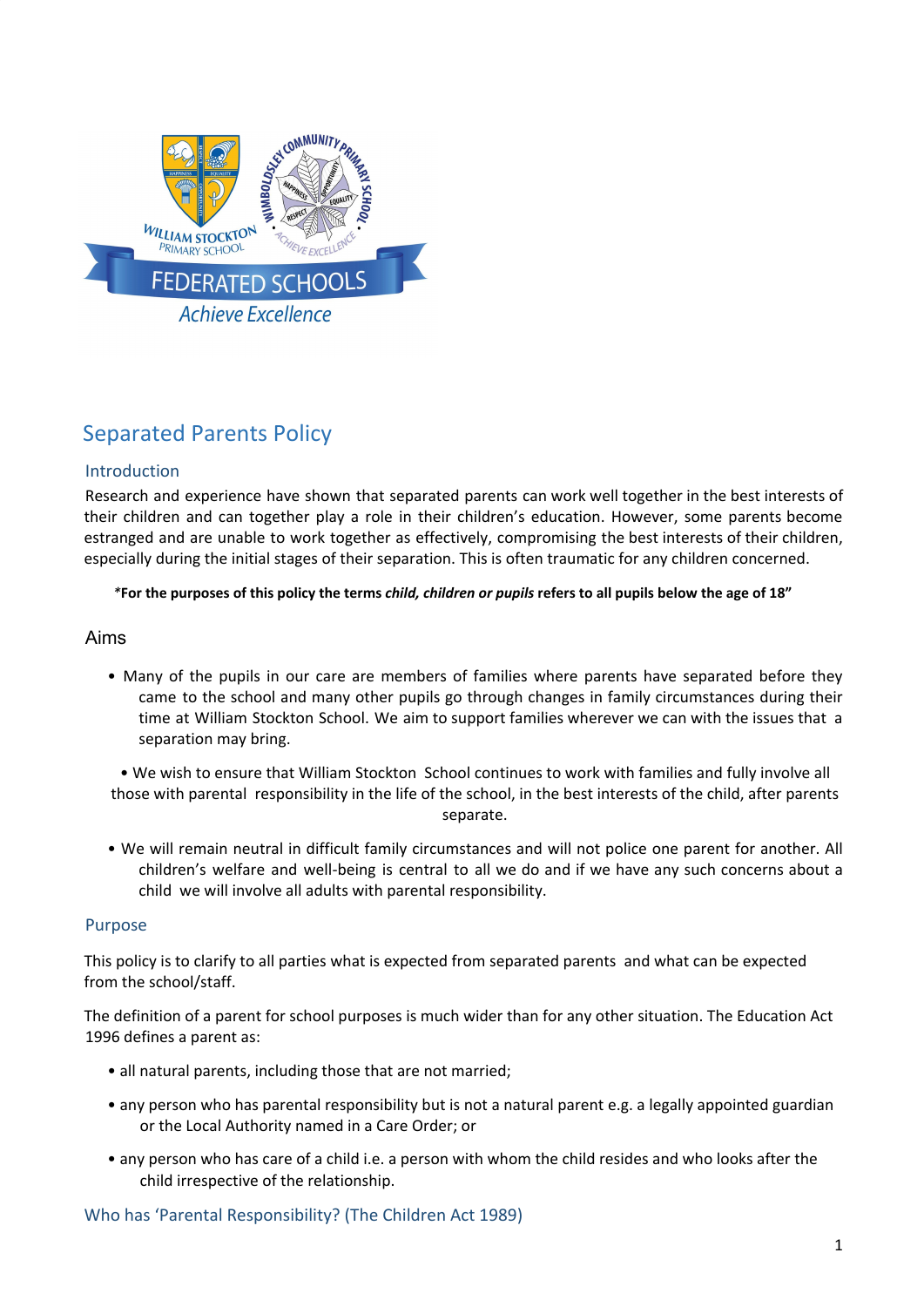

# Separated Parents Policy

# Introduction

Research and experience have shown that separated parents can work well together in the best interests of their children and can together play a role in their children's education. However, some parents become estranged and are unable to work together as effectively, compromising the best interests of their children, especially during the initial stages of their separation. This is often traumatic for any children concerned.

#### \*For the purposes of this policy the terms child, children or pupils refers to all pupils below the age of 18"

# Aims

• Many of the pupils in our care are members of families where parents have separated before they came to the school and many other pupils go through changes in family circumstances during their time at William Stockton School. We aim to support families wherever we can with the issues that a separation may bring.

• We wish to ensure that William Stockton School continues to work with families and fully involve all those with parental responsibility in the life of the school, in the best interests of the child, after parents separate.

• We will remain neutral in difficult family circumstances and will not police one parent for another. All children's welfare and well-being is central to all we do and if we have any such concerns about a child we will involve all adults with parental responsibility.

#### Purpose

This policy is to clarify to all parties what is expected from separated parents and what can be expected from the school/staff.

The definition of a parent for school purposes is much wider than for any other situation. The Education Act 1996 defines a parent as:

- all natural parents, including those that are not married;
- any person who has parental responsibility but is not a natural parent e.g. a legally appointed guardian or the Local Authority named in a Care Order; or
- any person who has care of a child i.e. a person with whom the child resides and who looks after the child irrespective of the relationship.

Who has 'Parental Responsibility? (The Children Act 1989)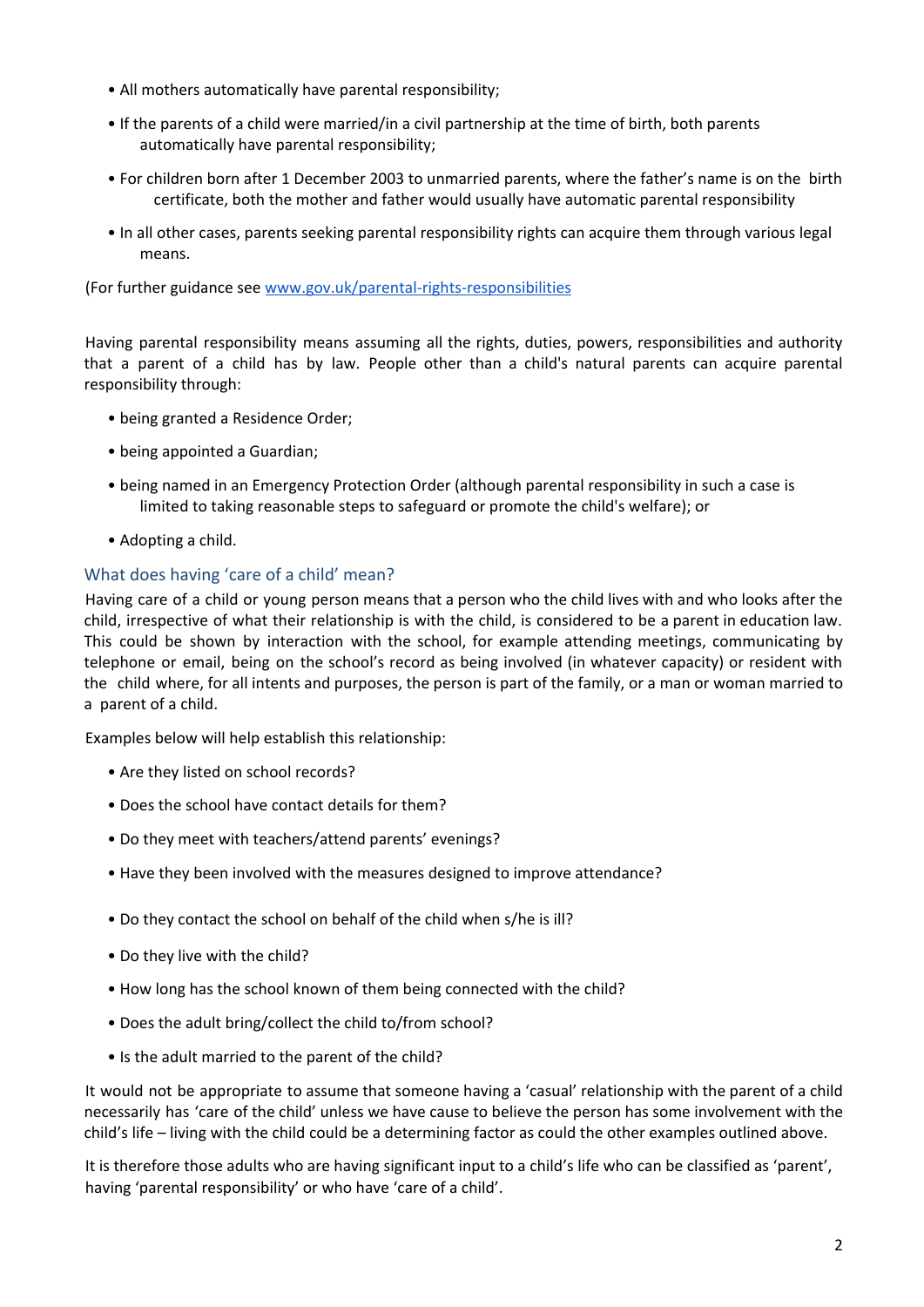- All mothers automatically have parental responsibility;
- If the parents of a child were married/in a civil partnership at the time of birth, both parents automatically have parental responsibility;
- For children born after 1 December 2003 to unmarried parents, where the father's name is on the birth certificate, both the mother and father would usually have automatic parental responsibility
- In all other cases, parents seeking parental responsibility rights can acquire them through various legal means.

(For further guidance see [www.gov.uk/parental-rights-responsibilities](http://www.gov.uk/parental-rights-responsibilities)

Having parental responsibility means assuming all the rights, duties, powers, responsibilities and authority that a parent of a child has by law. People other than a child's natural parents can acquire parental responsibility through:

- being granted a Residence Order;
- being appointed a Guardian;
- being named in an Emergency Protection Order (although parental responsibility in such a case is limited to taking reasonable steps to safeguard or promote the child's welfare); or
- Adopting a child.

# What does having 'care of a child' mean?

Having care of a child or young person means that a person who the child lives with and who looks after the child, irrespective of what their relationship is with the child, is considered to be a parent in education law. This could be shown by interaction with the school, for example attending meetings, communicating by telephone or email, being on the school's record as being involved (in whatever capacity) or resident with the child where, for all intents and purposes, the person is part of the family, or a man or woman married to a parent of a child.

Examples below will help establish this relationship:

- Are they listed on school records?
- Does the school have contact details for them?
- Do they meet with teachers/attend parents' evenings?
- Have they been involved with the measures designed to improve attendance?
- Do they contact the school on behalf of the child when s/he is ill?
- Do they live with the child?
- How long has the school known of them being connected with the child?
- Does the adult bring/collect the child to/from school?
- Is the adult married to the parent of the child?

It would not be appropriate to assume that someone having a 'casual' relationship with the parent of a child necessarily has 'care of the child' unless we have cause to believe the person has some involvement with the child's life – living with the child could be a determining factor as could the other examples outlined above.

It is therefore those adults who are having significant input to a child's life who can be classified as 'parent', having 'parental responsibility' or who have 'care of a child'.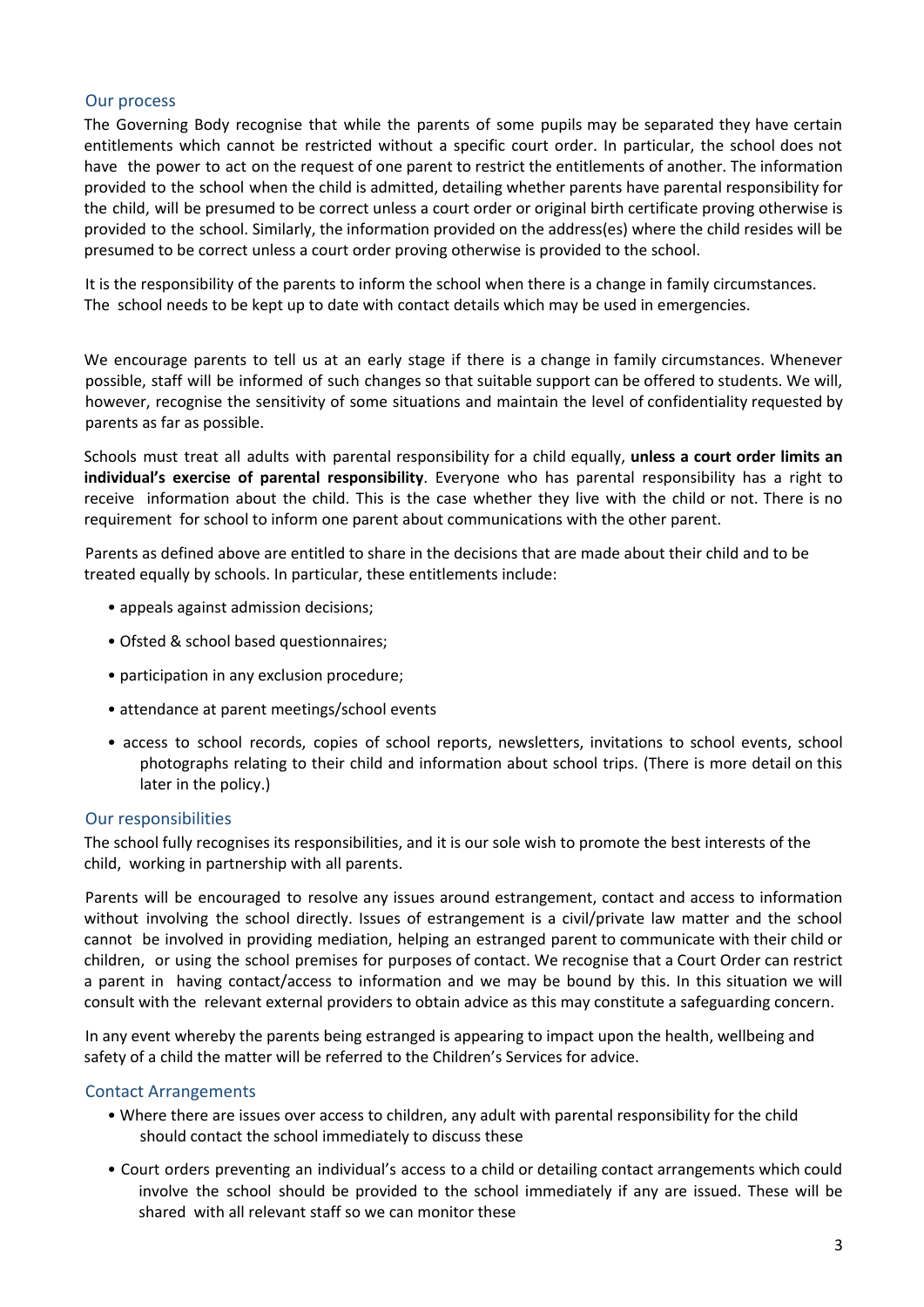# Our process

The Governing Body recognise that while the parents of some pupils may be separated they have certain entitlements which cannot be restricted without a specific court order. In particular, the school does not have the power to act on the request of one parent to restrict the entitlements of another. The information provided to the school when the child is admitted, detailing whether parents have parental responsibility for the child, will be presumed to be correct unless a court order or original birth certificate proving otherwise is provided to the school. Similarly, the information provided on the address(es) where the child resides will be presumed to be correct unless a court order proving otherwise is provided to the school.

It is the responsibility of the parents to inform the school when there is a change in family circumstances. The school needs to be kept up to date with contact details which may be used in emergencies.

We encourage parents to tell us at an early stage if there is a change in family circumstances. Whenever possible, staff will be informed of such changes so that suitable support can be offered to students. We will, however, recognise the sensitivity of some situations and maintain the level of confidentiality requested by parents as far as possible.

Schools must treat all adults with parental responsibility for a child equally, **unless a court order limits an individual's exercise of parental responsibility**. Everyone who has parental responsibility has a right to receive information about the child. This is the case whether they live with the child or not. There is no requirement for school to inform one parent about communications with the other parent.

Parents as defined above are entitled to share in the decisions that are made about their child and to be treated equally by schools. In particular, these entitlements include:

- appeals against admission decisions;
- Ofsted & school based questionnaires;
- participation in any exclusion procedure;
- attendance at parent meetings/school events
- access to school records, copies of school reports, newsletters, invitations to school events, school photographs relating to their child and information about school trips. (There is more detail on this later in the policy.)

#### Our responsibilities

The school fully recognises its responsibilities, and it is our sole wish to promote the best interests of the child, working in partnership with all parents.

Parents will be encouraged to resolve any issues around estrangement, contact and access to information without involving the school directly. Issues of estrangement is a civil/private law matter and the school cannot be involved in providing mediation, helping an estranged parent to communicate with their child or children, or using the school premises for purposes of contact. We recognise that a Court Order can restrict a parent in having contact/access to information and we may be bound by this. In this situation we will consult with the relevant external providers to obtain advice as this may constitute a safeguarding concern.

In any event whereby the parents being estranged is appearing to impact upon the health, wellbeing and safety of a child the matter will be referred to the Children's Services for advice.

#### Contact Arrangements

- Where there are issues over access to children, any adult with parental responsibility for the child should contact the school immediately to discuss these
- Court orders preventing an individual's access to a child or detailing contact arrangements which could involve the school should be provided to the school immediately if any are issued. These will be shared with all relevant staff so we can monitor these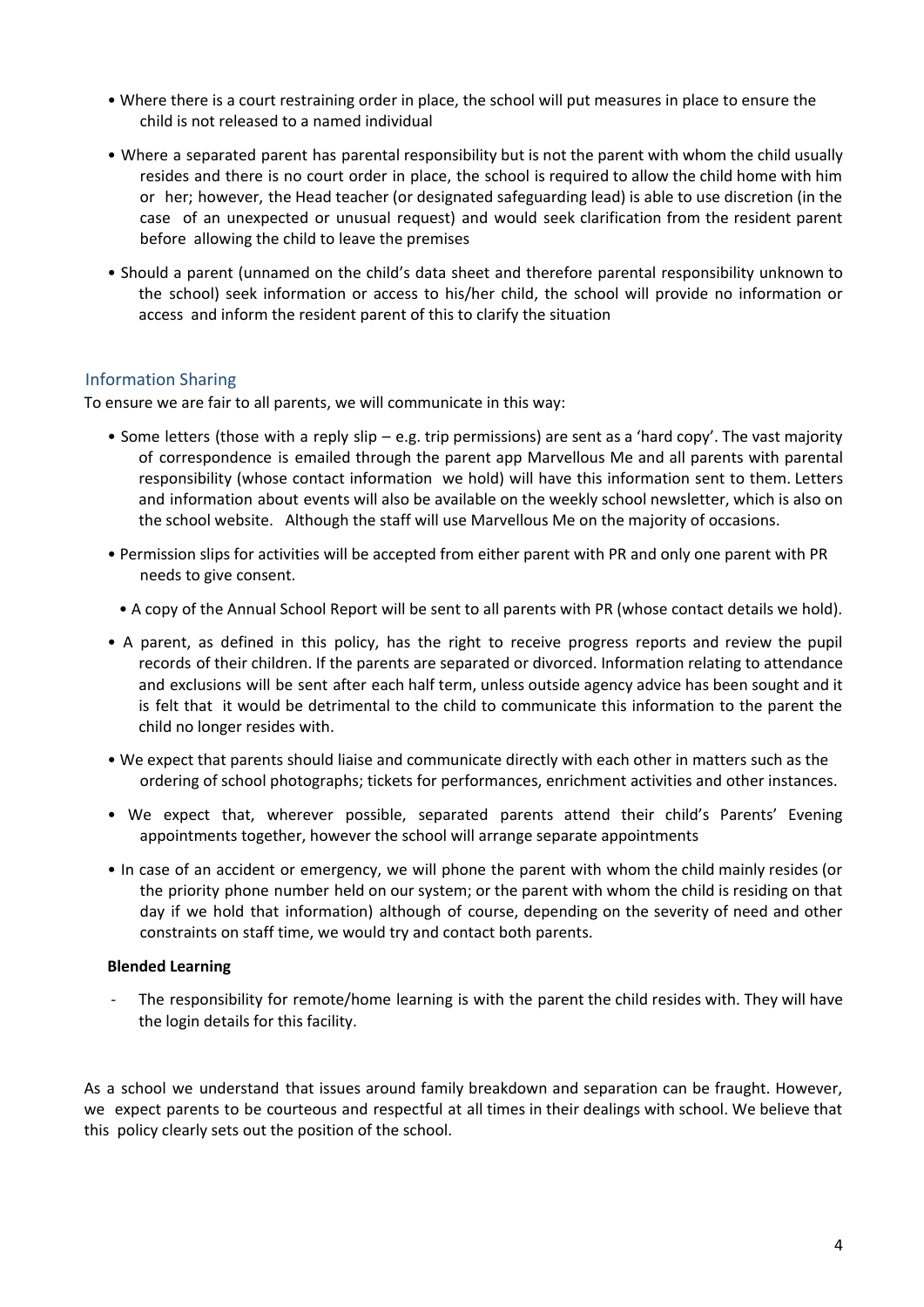- Where there is a court restraining order in place, the school will put measures in place to ensure the child is not released to a named individual
- Where a separated parent has parental responsibility but is not the parent with whom the child usually resides and there is no court order in place, the school is required to allow the child home with him or her; however, the Head teacher (or designated safeguarding lead) is able to use discretion (in the case of an unexpected or unusual request) and would seek clarification from the resident parent before allowing the child to leave the premises
- Should a parent (unnamed on the child's data sheet and therefore parental responsibility unknown to the school) seek information or access to his/her child, the school will provide no information or access and inform the resident parent of this to clarify the situation

# Information Sharing

To ensure we are fair to all parents, we will communicate in this way:

- Some letters (those with a reply slip e.g. trip permissions) are sent as a 'hard copy'. The vast majority of correspondence is emailed through the parent app Marvellous Me and all parents with parental responsibility (whose contact information we hold) will have this information sent to them. Letters and information about events will also be available on the weekly school newsletter, which is also on the school website. Although the staff will use Marvellous Me on the majority of occasions.
- Permission slips for activities will be accepted from either parent with PR and only one parent with PR needs to give consent.
- A copy of the Annual School Report will be sent to all parents with PR (whose contact details we hold).
- A parent, as defined in this policy, has the right to receive progress reports and review the pupil records of their children. If the parents are separated or divorced. Information relating to attendance and exclusions will be sent after each half term, unless outside agency advice has been sought and it is felt that it would be detrimental to the child to communicate this information to the parent the child no longer resides with.
- We expect that parents should liaise and communicate directly with each other in matters such as the ordering of school photographs; tickets for performances, enrichment activities and other instances.
- We expect that, wherever possible, separated parents attend their child's Parents' Evening appointments together, however the school will arrange separate appointments
- In case of an accident or emergency, we will phone the parent with whom the child mainly resides (or the priority phone number held on our system; or the parent with whom the child is residing on that day if we hold that information) although of course, depending on the severity of need and other constraints on staff time, we would try and contact both parents.

#### **Blended Learning**

The responsibility for remote/home learning is with the parent the child resides with. They will have the login details for this facility.

As a school we understand that issues around family breakdown and separation can be fraught. However, we expect parents to be courteous and respectful at all times in their dealings with school. We believe that this policy clearly sets out the position of the school.